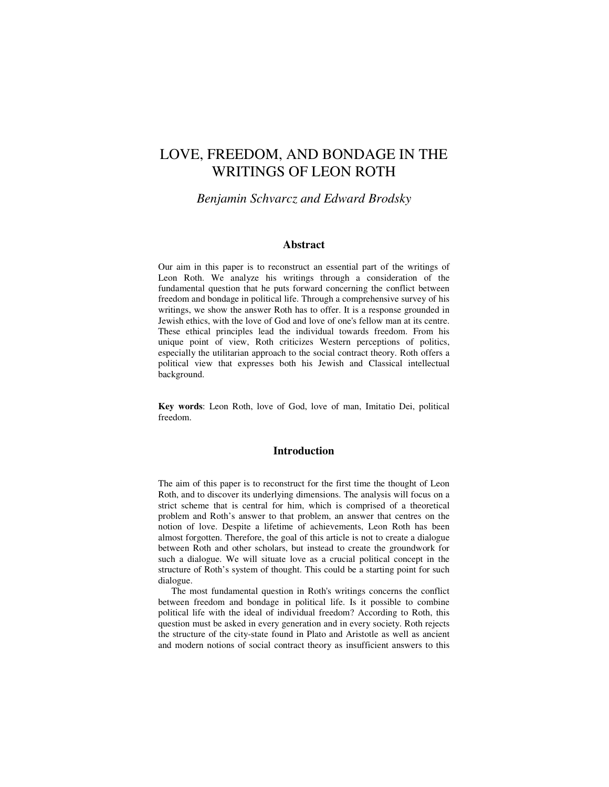# LOVE, FREEDOM, AND BONDAGE IN THE WRITINGS OF LEON ROTH

## *Benjamin Schvarcz and Edward Brodsky*

### **Abstract**

Our aim in this paper is to reconstruct an essential part of the writings of Leon Roth. We analyze his writings through a consideration of the fundamental question that he puts forward concerning the conflict between freedom and bondage in political life. Through a comprehensive survey of his writings, we show the answer Roth has to offer. It is a response grounded in Jewish ethics, with the love of God and love of one's fellow man at its centre. These ethical principles lead the individual towards freedom. From his unique point of view, Roth criticizes Western perceptions of politics, especially the utilitarian approach to the social contract theory. Roth offers a political view that expresses both his Jewish and Classical intellectual background.

**Key words**: Leon Roth, love of God, love of man, Imitatio Dei, political freedom.

### **Introduction**

The aim of this paper is to reconstruct for the first time the thought of Leon Roth, and to discover its underlying dimensions. The analysis will focus on a strict scheme that is central for him, which is comprised of a theoretical problem and Roth's answer to that problem, an answer that centres on the notion of love. Despite a lifetime of achievements, Leon Roth has been almost forgotten. Therefore, the goal of this article is not to create a dialogue between Roth and other scholars, but instead to create the groundwork for such a dialogue. We will situate love as a crucial political concept in the structure of Roth's system of thought. This could be a starting point for such dialogue.

The most fundamental question in Roth's writings concerns the conflict between freedom and bondage in political life. Is it possible to combine political life with the ideal of individual freedom? According to Roth, this question must be asked in every generation and in every society. Roth rejects the structure of the city-state found in Plato and Aristotle as well as ancient and modern notions of social contract theory as insufficient answers to this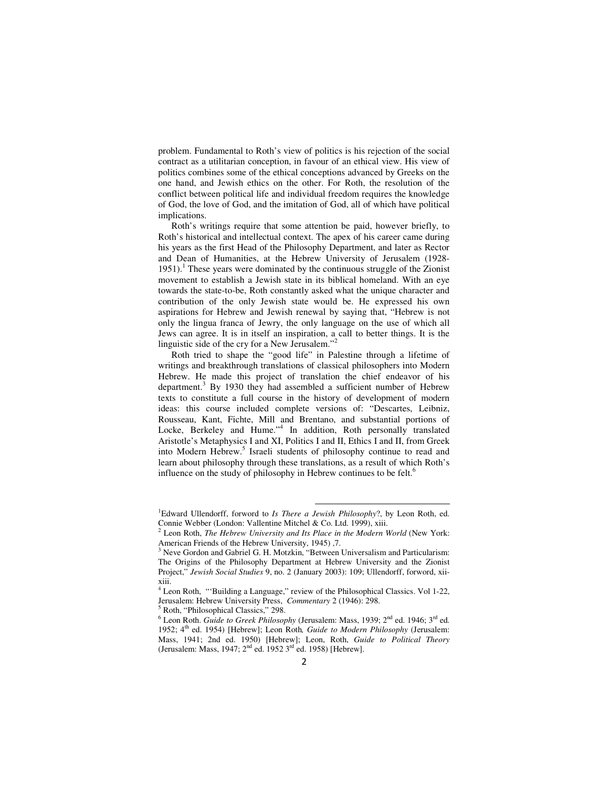problem. Fundamental to Roth's view of politics is his rejection of the social contract as a utilitarian conception, in favour of an ethical view. His view of politics combines some of the ethical conceptions advanced by Greeks on the one hand, and Jewish ethics on the other. For Roth, the resolution of the conflict between political life and individual freedom requires the knowledge of God, the love of God, and the imitation of God, all of which have political implications.

Roth's writings require that some attention be paid, however briefly, to Roth's historical and intellectual context. The apex of his career came during his years as the first Head of the Philosophy Department, and later as Rector and Dean of Humanities, at the Hebrew University of Jerusalem (1928- 1951).<sup>1</sup> These years were dominated by the continuous struggle of the Zionist movement to establish a Jewish state in its biblical homeland. With an eye towards the state-to-be, Roth constantly asked what the unique character and contribution of the only Jewish state would be. He expressed his own aspirations for Hebrew and Jewish renewal by saying that, "Hebrew is not only the lingua franca of Jewry, the only language on the use of which all Jews can agree. It is in itself an inspiration, a call to better things. It is the linguistic side of the cry for a New Jerusalem."<sup>2</sup>

Roth tried to shape the "good life" in Palestine through a lifetime of writings and breakthrough translations of classical philosophers into Modern Hebrew. He made this project of translation the chief endeavor of his department.<sup>3</sup> By 1930 they had assembled a sufficient number of Hebrew texts to constitute a full course in the history of development of modern ideas: this course included complete versions of: "Descartes, Leibniz, Rousseau, Kant, Fichte, Mill and Brentano, and substantial portions of Locke, Berkeley and Hume."<sup>4</sup> In addition, Roth personally translated Aristotle's Metaphysics I and XI, Politics I and II, Ethics I and II, from Greek into Modern Hebrew.<sup>5</sup> Israeli students of philosophy continue to read and learn about philosophy through these translations, as a result of which Roth's influence on the study of philosophy in Hebrew continues to be felt.<sup>6</sup>

 $\overline{a}$ 

5 Roth, "Philosophical Classics," 298.

<sup>&</sup>lt;sup>1</sup>Edward Ullendorff, forword to *Is There a Jewish Philosophy*?, by Leon Roth, ed. Connie Webber (London: Vallentine Mitchel & Co. Ltd. 1999), xiii.

<sup>2</sup> Leon Roth, *The Hebrew University and Its Place in the Modern World* (New York: American Friends of the Hebrew University, 1945) ,7.

<sup>&</sup>lt;sup>3</sup> Neve Gordon and Gabriel G. H. Motzkin, "Between Universalism and Particularism: The Origins of the Philosophy Department at Hebrew University and the Zionist Project," *Jewish Social Studies* 9, no. 2 (January 2003): 109; Ullendorff, forword, xiixiii.

<sup>&</sup>lt;sup>4</sup> Leon Roth, "Building a Language," review of the Philosophical Classics. Vol 1-22, Jerusalem: Hebrew University Press, *Commentary* 2 (1946): 298.

<sup>&</sup>lt;sup>6</sup> Leon Roth. *Guide to Greek Philosophy* (Jerusalem: Mass, 1939; 2<sup>nd</sup> ed. 1946; 3<sup>rd</sup> ed. 1952; 4<sup>th</sup> ed. 1954) [Hebrew]; Leon Roth, *Guide to Modern Philosophy* (Jerusalem: Mass, 1941; 2nd ed. 1950) [Hebrew]; Leon, Roth, *Guide to Political Theory* (Jerusalem: Mass, 1947; 2nd ed. 1952 3rd ed. 1958) [Hebrew].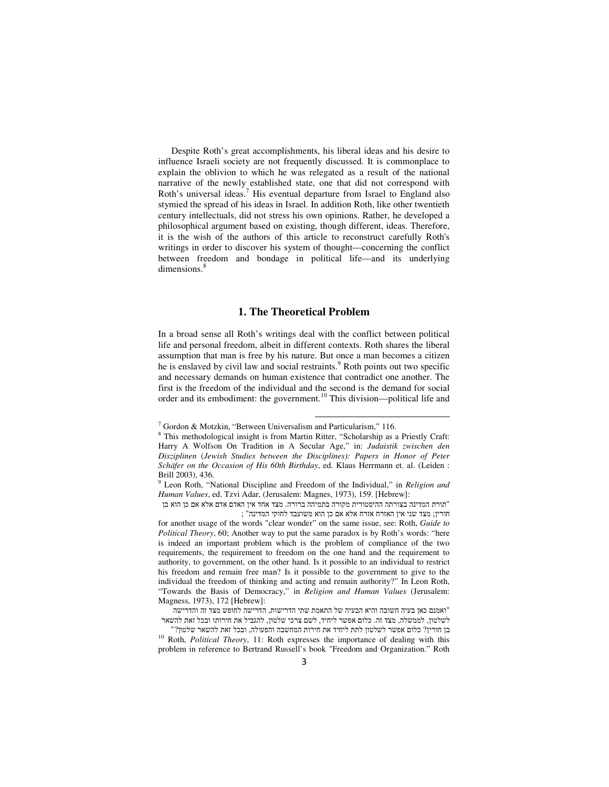Despite Roth's great accomplishments, his liberal ideas and his desire to influence Israeli society are not frequently discussed. It is commonplace to explain the oblivion to which he was relegated as a result of the national narrative of the newly established state, one that did not correspond with Roth's universal ideas.<sup>7</sup> His eventual departure from Israel to England also stymied the spread of his ideas in Israel. In addition Roth, like other twentieth century intellectuals, did not stress his own opinions. Rather, he developed a philosophical argument based on existing, though different, ideas. Therefore, it is the wish of the authors of this article to reconstruct carefully Roth's writings in order to discover his system of thought—concerning the conflict between freedom and bondage in political life—and its underlying dimensions.<sup>8</sup>

### **1. The Theoretical Problem**

In a broad sense all Roth's writings deal with the conflict between political life and personal freedom, albeit in different contexts. Roth shares the liberal assumption that man is free by his nature. But once a man becomes a citizen he is enslaved by civil law and social restraints.<sup>9</sup> Roth points out two specific and necessary demands on human existence that contradict one another. The first is the freedom of the individual and the second is the demand for social order and its embodiment: the government.<sup>10</sup> This division—political life and

<sup>7</sup> Gordon & Motzkin, "Between Universalism and Particularism," 116.

<sup>&</sup>lt;sup>8</sup> This methodological insight is from Martin Ritter, "Scholarship as a Priestly Craft: Harry A Wolfson On Tradition in A Secular Age," in: *Judaistik zwischen den Disziplinen* (*Jewish Studies between the Disciplines): Papers in Honor of Peter Schäfer on the Occasion of His 60th Birthday*, ed. Klaus Herrmann et. al. (Leiden : Brill 2003), 436.

<sup>9</sup> Leon Roth, "National Discipline and Freedom of the Individual," in *Religion and Human Values*, ed. Tzvi Adar, (Jerusalem: Magnes, 1973), 159. [Hebrew]:

<sup>&</sup>quot;תורת המדינה בצורתה ההיסטורית מקורה בתמיהה ברורה. מצד אחד אין האדם אדם אלא אם כן הוא בן חורין; מצד שני אין האזרח אזרח אלא אם כן הוא משועבד לחוקי המדינה ;"

for another usage of the words "clear wonder" on the same issue, see: Roth, *Guide to Political Theory*, 60; Another way to put the same paradox is by Roth's words: "here is indeed an important problem which is the problem of compliance of the two requirements, the requirement to freedom on the one hand and the requirement to authority, to government, on the other hand. Is it possible to an individual to restrict his freedom and remain free man? Is it possible to the government to give to the individual the freedom of thinking and acting and remain authority?" In Leon Roth, "Towards the Basis of Democracy," in *Religion and Human Values* (Jerusalem: Magness, 1973), 172 [Hebrew]:

<sup>&</sup>quot;ואמנם כאן בעיה חשובה והיא הבעיה של התאמת שתי הדרישות, הדרישה לחופש מצד זה והדרישה לשלטון, לממשלה, מצד זה. כלום אפשר ליחיד, לשם צרכי שלטון, להגביל את חירותו ובכל זאת להשאר

בן חורין? כלום אפשר לשלטון לתת ליחיד את חירות המחשבה והפעולה, ובכל זאת להשאר שלטון "? <sup>10</sup> Roth, *Political Theory*, 11: Roth expresses the importance of dealing with this

problem in reference to Bertrand Russell's book "Freedom and Organization." Roth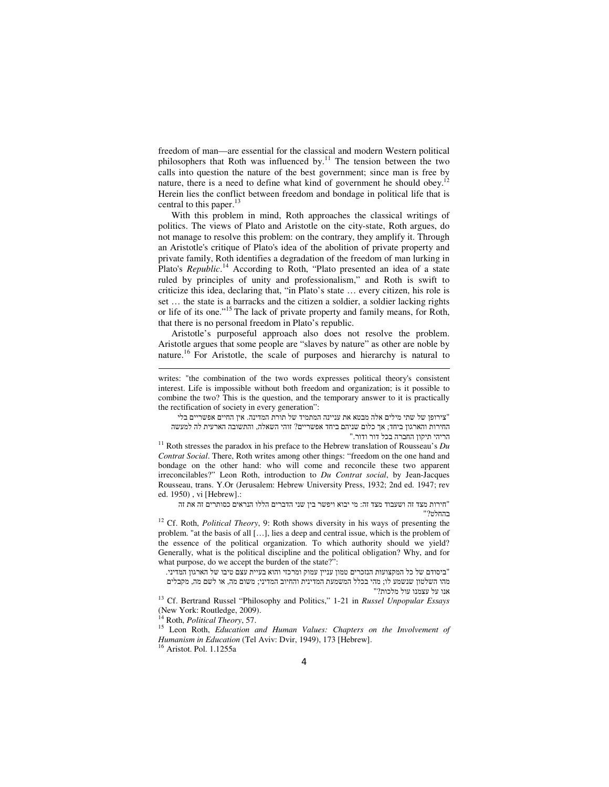freedom of man—are essential for the classical and modern Western political philosophers that Roth was influenced by. $11$  The tension between the two calls into question the nature of the best government; since man is free by nature, there is a need to define what kind of government he should obey.<sup>12</sup> Herein lies the conflict between freedom and bondage in political life that is central to this paper.<sup>13</sup>

With this problem in mind, Roth approaches the classical writings of politics. The views of Plato and Aristotle on the city-state, Roth argues, do not manage to resolve this problem: on the contrary, they amplify it. Through an Aristotle's critique of Plato's idea of the abolition of private property and private family, Roth identifies a degradation of the freedom of man lurking in Plato's *Republic*.<sup>14</sup> According to Roth, "Plato presented an idea of a state ruled by principles of unity and professionalism," and Roth is swift to criticize this idea, declaring that, "in Plato's state … every citizen, his role is set … the state is a barracks and the citizen a soldier, a soldier lacking rights or life of its one."<sup>15</sup> The lack of private property and family means, for Roth, that there is no personal freedom in Plato's republic.

Aristotle's purposeful approach also does not resolve the problem. Aristotle argues that some people are "slaves by nature" as other are noble by nature.<sup>16</sup> For Aristotle, the scale of purposes and hierarchy is natural to

writes: "the combination of the two words expresses political theory's consistent interest. Life is impossible without both freedom and organization; is it possible to combine the two? This is the question, and the temporary answer to it is practically the rectification of society in every generation":

"צירופן של שתי מילים אלה מבטא את עניינה המתמיד של תורת המדינה. אין החיים אפשריים בלי החירות והארגון ביחד; אך כלום שניהם ביחד אפשריים? זוהי השאלה, והתשובה הארעית לה למעשה הריהי תיקון החברה בכל דור ודור ".

<sup>11</sup> Roth stresses the paradox in his preface to the Hebrew translation of Rousseau's  $Du$ *Contrat Social*. There, Roth writes among other things: "freedom on the one hand and bondage on the other hand: who will come and reconcile these two apparent irreconcilables?" Leon Roth, introduction to *Du Contrat social*, by Jean-Jacques Rousseau, trans. Y.Or (Jerusalem: Hebrew University Press, 1932; 2nd ed. 1947; rev ed. 1950) , vi [Hebrew].:

"חירות מצד זה ושעבוד מצד זה: מי יבוא ויפשר בין שני הדברים הללו הנראים כסותרים זה את זה בהחלט?"

<sup>12</sup> Cf. Roth, *Political Theory*, 9: Roth shows diversity in his ways of presenting the problem. "at the basis of all […], lies a deep and central issue, which is the problem of the essence of the political organization. To which authority should we yield? Generally, what is the political discipline and the political obligation? Why, and for what purpose, do we accept the burden of the state?":

"ביסודם של כל המקצועות הנזכרים טמון עניין עמוק ומרכזי והוא בעיית עצם טיבו של הארגון המדיני. מהו השלטון שנשמע לו; מהי בכלל המשמעת המדינית והחיוב המדיני; משום מה, או לשם מה, מקבלים אנו על עצמנו עול מלכות "?

<sup>13</sup> Cf. Bertrand Russel "Philosophy and Politics," 1-21 in *Russel Unpopular Essays*  (New York: Routledge, 2009).

<sup>14</sup> Roth, *Political Theory*, 57.

<sup>15</sup> Leon Roth, *Education and Human Values: Chapters on the Involvement of Humanism in Education* (Tel Aviv: Dvir, 1949), 173 [Hebrew].

<sup>16</sup> Aristot. Pol. 1.1255a

l,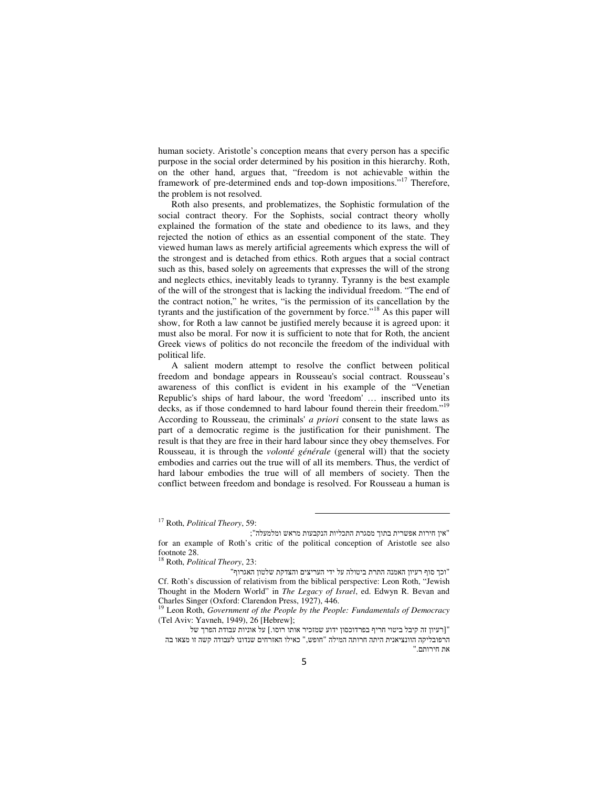human society. Aristotle's conception means that every person has a specific purpose in the social order determined by his position in this hierarchy. Roth, on the other hand, argues that, "freedom is not achievable within the framework of pre-determined ends and top-down impositions."<sup>17</sup> Therefore, the problem is not resolved.

Roth also presents, and problematizes, the Sophistic formulation of the social contract theory. For the Sophists, social contract theory wholly explained the formation of the state and obedience to its laws, and they rejected the notion of ethics as an essential component of the state. They viewed human laws as merely artificial agreements which express the will of the strongest and is detached from ethics. Roth argues that a social contract such as this, based solely on agreements that expresses the will of the strong and neglects ethics, inevitably leads to tyranny. Tyranny is the best example of the will of the strongest that is lacking the individual freedom. "The end of the contract notion," he writes, "is the permission of its cancellation by the tyrants and the justification of the government by force."<sup>18</sup> As this paper will show, for Roth a law cannot be justified merely because it is agreed upon: it must also be moral. For now it is sufficient to note that for Roth, the ancient Greek views of politics do not reconcile the freedom of the individual with political life.

A salient modern attempt to resolve the conflict between political freedom and bondage appears in Rousseau's social contract. Rousseau's awareness of this conflict is evident in his example of the "Venetian Republic's ships of hard labour, the word 'freedom' … inscribed unto its decks, as if those condemned to hard labour found therein their freedom."<sup>19</sup> According to Rousseau, the criminals' *a priori* consent to the state laws as part of a democratic regime is the justification for their punishment. The result is that they are free in their hard labour since they obey themselves. For Rousseau, it is through the *volonté générale* (general will) that the society embodies and carries out the true will of all its members. Thus, the verdict of hard labour embodies the true will of all members of society. Then the conflict between freedom and bondage is resolved. For Rousseau a human is

<sup>17</sup> Roth, *Political Theory*, 59:

 <sup>&</sup>quot; ןאי חירות אפשרית בתוך מסגרת התכליות הנקבעות מראש ומלמעלה"; for an example of Roth's critic of the political conception of Aristotle see also footnote 28.

<sup>18</sup> Roth, *Political Theory*, 23:

<sup>&</sup>quot;וכך סוף רעיון האמנה התרת ביטולה על ידי העריצים והצדקת שלטון האגרוף " Cf. Roth's discussion of relativism from the biblical perspective: Leon Roth, "Jewish Thought in the Modern World" in *The Legacy of Israel*, ed. Edwyn R. Bevan and Charles Singer (Oxford: Clarendon Press, 1927), 446.

<sup>19</sup> Leon Roth, *Government of the People by the People: Fundamentals of Democracy* (Tel Aviv: Yavneh, 1949), 26 [Hebrew];

<sup>&</sup>quot;[רעיון זה קיבל ביטוי חריף בפרדוכסון ידוע שמזכיר אותו רוסו.] על אוניות עבודת הפרך של הרפובליקה הוונציאנית היתה חרותה המילה " חופש ", כאילו האזרחים שנדונו לעבודה קשה זו מצאו בה את חירותם ".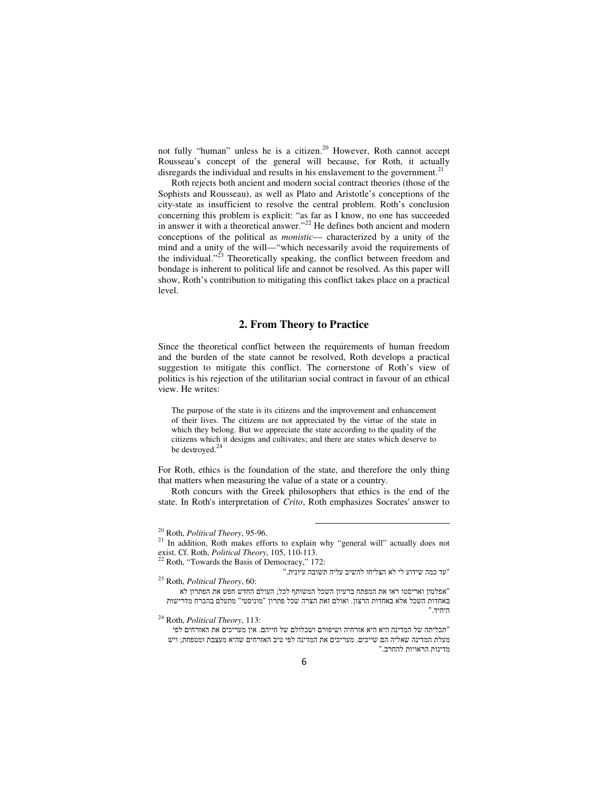not fully "human" unless he is a citizen.<sup>20</sup> However, Roth cannot accept Rousseau's concept of the general will because, for Roth, it actually disregards the individual and results in his enslavement to the government.<sup>21</sup>

Roth rejects both ancient and modern social contract theories (those of the Sophists and Rousseau), as well as Plato and Aristotle's conceptions of the city-state as insufficient to resolve the central problem. Roth's conclusion concerning this problem is explicit: "as far as I know, no one has succeeded in answer it with a theoretical answer."<sup>22</sup> He defines both ancient and modern conceptions of the political as *monistic*— characterized by a unity of the mind and a unity of the will—"which necessarily avoid the requirements of the individual." $^{23}$  Theoretically speaking, the conflict between freedom and bondage is inherent to political life and cannot be resolved. As this paper will show, Roth's contribution to mitigating this conflict takes place on a practical level.

### **2. From Theory to Practice**

Since the theoretical conflict between the requirements of human freedom and the burden of the state cannot be resolved, Roth develops a practical suggestion to mitigate this conflict. The cornerstone of Roth's view of politics is his rejection of the utilitarian social contract in favour of an ethical view. He writes:

The purpose of the state is its citizens and the improvement and enhancement of their lives. The citizens are not appreciated by the virtue of the state in which they belong. But we appreciate the state according to the quality of the citizens which it designs and cultivates; and there are states which deserve to be destroyed.<sup>24</sup>

For Roth, ethics is the foundation of the state, and therefore the only thing that matters when measuring the value of a state or a country.

Roth concurs with the Greek philosophers that ethics is the end of the state. In Roth's interpretation of *Crito*, Roth emphasizes Socrates' answer to

<sup>20</sup> Roth, *Political Theory*, 95-96.

<sup>&</sup>lt;sup>21</sup> In addition, Roth makes efforts to explain why "general will" actually does not exist. Cf. Roth, *Political Theory*, 105, 110-113.

<sup>&</sup>lt;sup>22</sup> Roth, "Towards the Basis of Democracy," 172:

<sup>&</sup>quot;עד כמה שידוע לי לא הצליחו להשיב עליה תשובה עיונית ". <sup>23</sup> Roth, *Political Theory*, 60:

<sup>&</sup>quot;אפלטון ואריסטו ראו את המפתח ברעיון השכל המשותף לכל; העולם החדש חפש את הפתרון לא באחדות השכל אלא באחדות הרצון. ואולם זאת הצרה שכל פתרון "מוניסטי" מתעלם בהכרח מדרישות היחיד ".

<sup>24</sup> Roth, *Political Theory*, 113: "תכליתה של המדינה היא היא אזרחיה ושיפורם ושכלולם של חייהם. אין מעריכים את האזרחים לפי מעלת המדינה שאליה הם שייכים. מעריכים את המדינה לפי טיב האזרחים שהיא מעצבת ומטפחת; ויש מדינות הראויות להחרב ".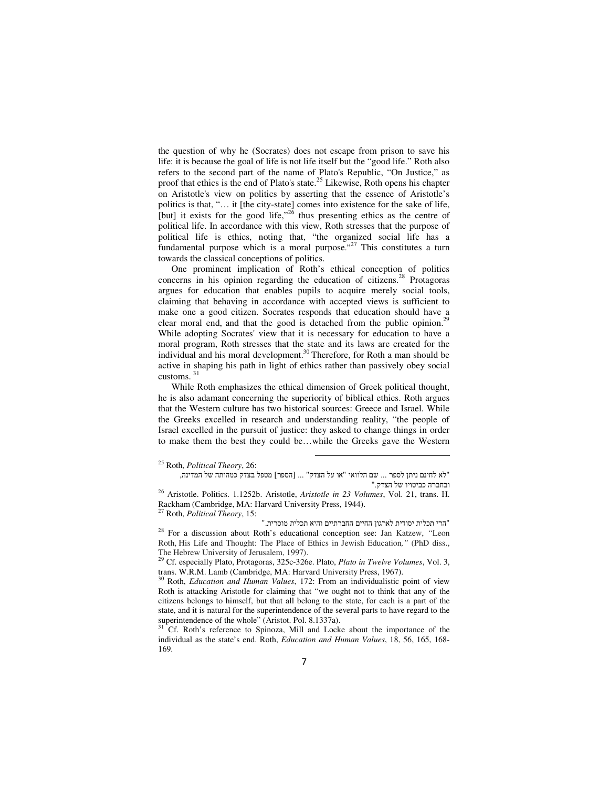the question of why he (Socrates) does not escape from prison to save his life: it is because the goal of life is not life itself but the "good life." Roth also refers to the second part of the name of Plato's Republic, "On Justice," as proof that ethics is the end of Plato's state.<sup>25</sup> Likewise, Roth opens his chapter on Aristotle's view on politics by asserting that the essence of Aristotle's politics is that, "… it [the city-state] comes into existence for the sake of life, [but] it exists for the good life,"<sup>26</sup> thus presenting ethics as the centre of political life. In accordance with this view, Roth stresses that the purpose of political life is ethics, noting that, "the organized social life has a fundamental purpose which is a moral purpose."<sup>27</sup> This constitutes a turn towards the classical conceptions of politics.

One prominent implication of Roth's ethical conception of politics concerns in his opinion regarding the education of citizens.<sup>28</sup> Protagoras argues for education that enables pupils to acquire merely social tools, claiming that behaving in accordance with accepted views is sufficient to make one a good citizen. Socrates responds that education should have a clear moral end, and that the good is detached from the public opinion.<sup>29</sup> While adopting Socrates' view that it is necessary for education to have a moral program, Roth stresses that the state and its laws are created for the individual and his moral development.<sup>30</sup> Therefore, for Roth a man should be active in shaping his path in light of ethics rather than passively obey social customs. <sup>31</sup>

While Roth emphasizes the ethical dimension of Greek political thought, he is also adamant concerning the superiority of biblical ethics. Roth argues that the Western culture has two historical sources: Greece and Israel. While the Greeks excelled in research and understanding reality, "the people of Israel excelled in the pursuit of justice: they asked to change things in order to make them the best they could be…while the Greeks gave the Western

<sup>25</sup> Roth, *Political Theory*, 26:

<sup>&</sup>quot;לא לחינם ניתן לספר ... שם הלוואי "או על הצדק" ... [הספר] מטפל בצדק כמהותה של המדינה, ובחברה כביטויו של הצדק ".

<sup>26</sup> Aristotle. Politics. 1.1252b. Aristotle, *Aristotle in 23 Volumes*, Vol. 21, trans. H. Rackham (Cambridge, MA: Harvard University Press, 1944).

<sup>27</sup> Roth, *Political Theory*, 15:

<sup>&</sup>quot;הרי תכלית יסודית לארגון החיים החברתיים והיא תכלית מוסרית ". <sup>28</sup> For a discussion about Roth's educational conception see: Jan Katzew, *"*Leon Roth, His Life and Thought: The Place of Ethics in Jewish Education*,"* (PhD diss., The Hebrew University of Jerusalem, 1997).

<sup>29</sup> Cf. especially Plato, Protagoras, 325c-326e. Plato, *Plato in Twelve Volumes*, Vol. 3, trans. W.R.M. Lamb (Cambridge, MA: Harvard University Press, 1967).

<sup>&</sup>lt;sup>30</sup> Roth, *Education and Human Values*, 172: From an individualistic point of view Roth is attacking Aristotle for claiming that "we ought not to think that any of the citizens belongs to himself, but that all belong to the state, for each is a part of the state, and it is natural for the superintendence of the several parts to have regard to the superintendence of the whole" (Aristot. Pol. 8.1337a).

<sup>31</sup> Cf. Roth's reference to Spinoza, Mill and Locke about the importance of the individual as the state's end. Roth, *Education and Human Values*, 18, 56, 165, 168- 169.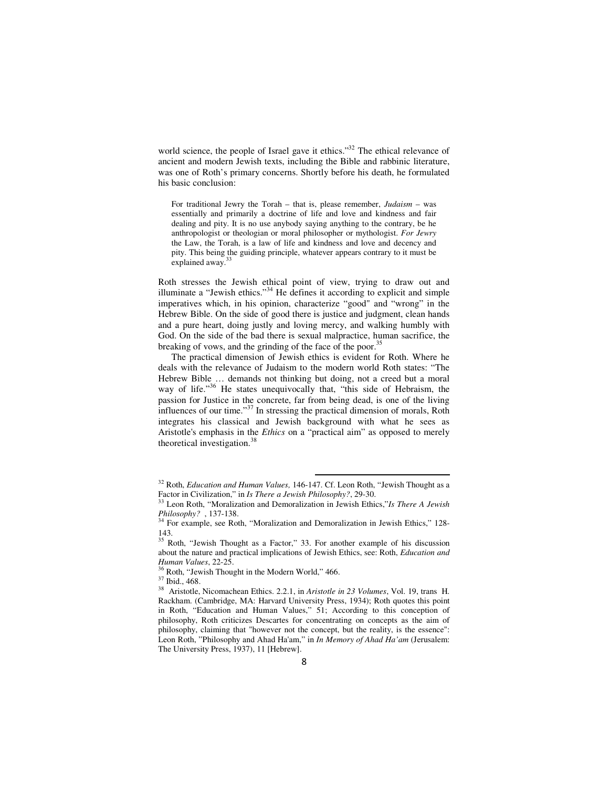world science, the people of Israel gave it ethics."<sup>32</sup> The ethical relevance of ancient and modern Jewish texts, including the Bible and rabbinic literature, was one of Roth's primary concerns. Shortly before his death, he formulated his basic conclusion:

For traditional Jewry the Torah – that is, please remember, *Judaism* – was essentially and primarily a doctrine of life and love and kindness and fair dealing and pity. It is no use anybody saying anything to the contrary, be he anthropologist or theologian or moral philosopher or mythologist. *For Jewry*  the Law, the Torah, is a law of life and kindness and love and decency and pity. This being the guiding principle, whatever appears contrary to it must be explained away.<sup>3</sup>

Roth stresses the Jewish ethical point of view, trying to draw out and illuminate a "Jewish ethics."<sup>34</sup> He defines it according to explicit and simple imperatives which, in his opinion, characterize "good" and "wrong" in the Hebrew Bible. On the side of good there is justice and judgment, clean hands and a pure heart, doing justly and loving mercy, and walking humbly with God. On the side of the bad there is sexual malpractice, human sacrifice, the breaking of vows, and the grinding of the face of the poor.<sup>35</sup>

The practical dimension of Jewish ethics is evident for Roth. Where he deals with the relevance of Judaism to the modern world Roth states: "The Hebrew Bible … demands not thinking but doing, not a creed but a moral way of life."<sup>36</sup> He states unequivocally that, "this side of Hebraism, the passion for Justice in the concrete, far from being dead, is one of the living influences of our time."<sup>37</sup> In stressing the practical dimension of morals, Roth integrates his classical and Jewish background with what he sees as Aristotle's emphasis in the *Ethics* on a "practical aim" as opposed to merely theoretical investigation.<sup>38</sup>

 $\overline{a}$ 

<sup>37</sup> Ibid., 468.

<sup>32</sup> Roth, *Education and Human Values,* 146-147. Cf. Leon Roth, "Jewish Thought as a Factor in Civilization," in *Is There a Jewish Philosophy?*, 29-30.

<sup>33</sup> Leon Roth, "Moralization and Demoralization in Jewish Ethics,"*Is There A Jewish Philosophy?* , 137-138.

<sup>&</sup>lt;sup>34</sup> For example, see Roth, "Moralization and Demoralization in Jewish Ethics," 128-143.

 $\frac{35}{35}$  Roth, "Jewish Thought as a Factor," 33. For another example of his discussion about the nature and practical implications of Jewish Ethics, see: Roth, *Education and Human Values*, 22-25.

<sup>&</sup>lt;sup>36</sup> Roth, "Jewish Thought in the Modern World," 466.

<sup>38</sup> Aristotle, Nicomachean Ethics. 2.2.1, in *Aristotle in 23 Volumes*, Vol. 19, trans H. Rackham. (Cambridge, MA: Harvard University Press, 1934); Roth quotes this point in Roth, "Education and Human Values," 51; According to this conception of philosophy, Roth criticizes Descartes for concentrating on concepts as the aim of philosophy, claiming that "however not the concept, but the reality, is the essence": Leon Roth, "Philosophy and Ahad Ha'am," in *In Memory of Ahad Ha'am* (Jerusalem: The University Press, 1937), 11 [Hebrew].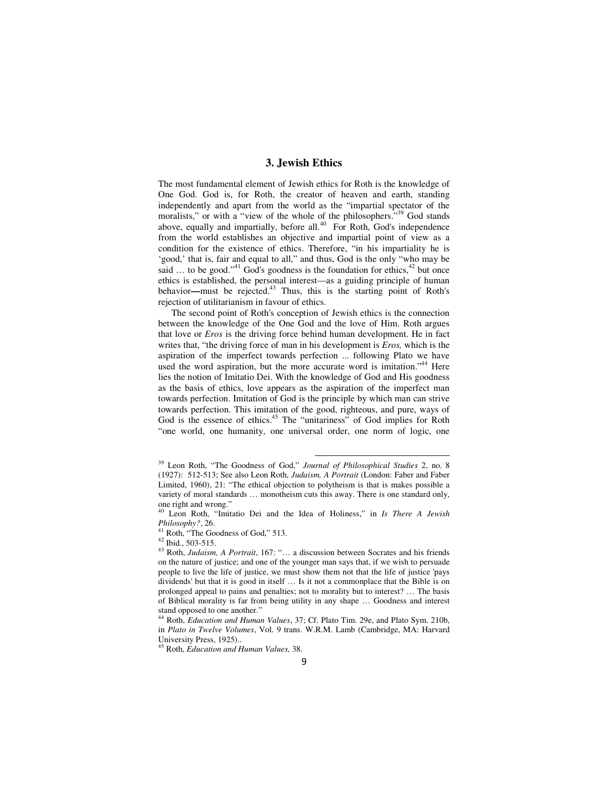### **3. Jewish Ethics**

The most fundamental element of Jewish ethics for Roth is the knowledge of One God. God is, for Roth, the creator of heaven and earth, standing independently and apart from the world as the "impartial spectator of the moralists," or with a "view of the whole of the philosophers."<sup>39</sup> God stands above, equally and impartially, before all. $^{40}$  For Roth, God's independence from the world establishes an objective and impartial point of view as a condition for the existence of ethics. Therefore, "in his impartiality he is 'good,' that is, fair and equal to all," and thus, God is the only "who may be said ... to be good."<sup>41</sup> God's goodness is the foundation for ethics,<sup>42</sup> but once ethics is established, the personal interest—as a guiding principle of human behavior**—**must be rejected.<sup>43</sup> Thus, this is the starting point of Roth's rejection of utilitarianism in favour of ethics.

The second point of Roth's conception of Jewish ethics is the connection between the knowledge of the One God and the love of Him. Roth argues that love or *Eros* is the driving force behind human development. He in fact writes that, "the driving force of man in his development is *Eros,* which is the aspiration of the imperfect towards perfection ... following Plato we have used the word aspiration, but the more accurate word is imitation."<sup>44</sup> Here lies the notion of Imitatio Dei. With the knowledge of God and His goodness as the basis of ethics, love appears as the aspiration of the imperfect man towards perfection. Imitation of God is the principle by which man can strive towards perfection. This imitation of the good, righteous, and pure, ways of God is the essence of ethics.<sup>45</sup> The "unitariness" of God implies for Roth "one world, one humanity, one universal order, one norm of logic, one

<sup>39</sup> Leon Roth, "The Goodness of God," *Journal of Philosophical Studies* 2, no. 8 (1927): 512-513; See also Leon Roth, *Judaism, A Portrait* (London: Faber and Faber Limited, 1960), 21: "The ethical objection to polytheism is that is makes possible a variety of moral standards … monotheism cuts this away. There is one standard only, one right and wrong."

<sup>40</sup> Leon Roth, "Imitatio Dei and the Idea of Holiness," in *Is There A Jewish Philosophy?*, 26.

<sup>&</sup>lt;sup>41</sup> Roth, "The Goodness of God," 513.

<sup>42</sup> Ibid., 503-515.

<sup>43</sup> Roth, *Judaism, A Portrait*, 167: "… a discussion between Socrates and his friends on the nature of justice; and one of the younger man says that, if we wish to persuade people to live the life of justice, we must show them not that the life of justice 'pays dividends' but that it is good in itself … Is it not a commonplace that the Bible is on prolonged appeal to pains and penalties; not to morality but to interest? … The basis of Biblical morality is far from being utility in any shape … Goodness and interest stand opposed to one another."

<sup>44</sup> Roth, *Education and Human Values*, 37; Cf. Plato Tim. 29e, and Plato Sym. 210b, in *Plato in Twelve Volumes*, Vol. 9 trans. W.R.M. Lamb (Cambridge, MA: Harvard University Press, 1925)..

<sup>45</sup> Roth, *Education and Human Values,* 38.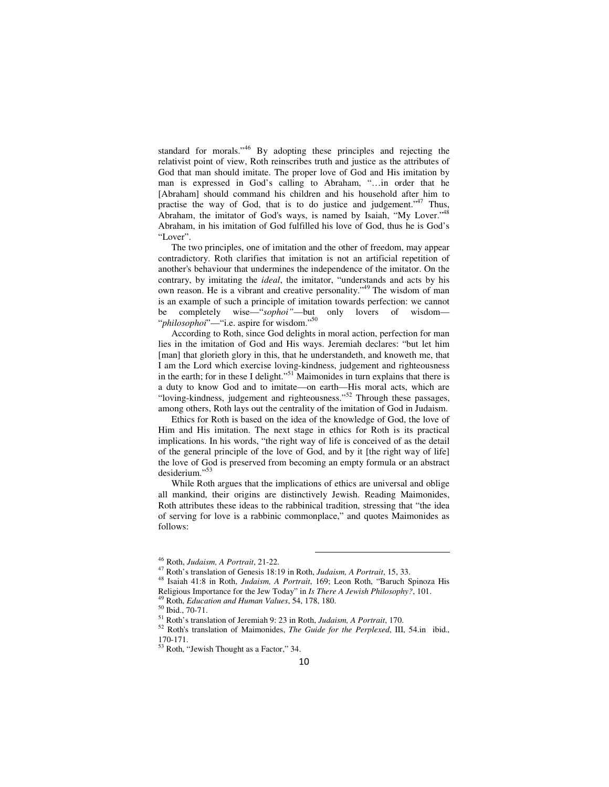standard for morals."<sup>46</sup> By adopting these principles and rejecting the relativist point of view, Roth reinscribes truth and justice as the attributes of God that man should imitate. The proper love of God and His imitation by man is expressed in God's calling to Abraham, "…in order that he [Abraham] should command his children and his household after him to practise the way of God, that is to do justice and judgement."<sup>47</sup> Thus, Abraham, the imitator of God's ways, is named by Isaiah, "My Lover."<sup>48</sup> Abraham, in his imitation of God fulfilled his love of God, thus he is God's "Lover".

The two principles, one of imitation and the other of freedom, may appear contradictory. Roth clarifies that imitation is not an artificial repetition of another's behaviour that undermines the independence of the imitator. On the contrary, by imitating the *ideal*, the imitator, "understands and acts by his own reason. He is a vibrant and creative personality."<sup>49</sup> The wisdom of man is an example of such a principle of imitation towards perfection: we cannot be completely wise—"*sophoi"*—but only lovers of wisdom— "*philosophoi*"—"i.e. aspire for wisdom."<sup>50</sup>

According to Roth, since God delights in moral action, perfection for man lies in the imitation of God and His ways. Jeremiah declares: "but let him [man] that glorieth glory in this, that he understandeth, and knoweth me, that I am the Lord which exercise loving-kindness, judgement and righteousness in the earth; for in these I delight."<sup>51</sup> Maimonides in turn explains that there is a duty to know God and to imitate—on earth—His moral acts, which are "loving-kindness, judgement and righteousness."<sup>52</sup> Through these passages, among others, Roth lays out the centrality of the imitation of God in Judaism.

Ethics for Roth is based on the idea of the knowledge of God, the love of Him and His imitation. The next stage in ethics for Roth is its practical implications. In his words, "the right way of life is conceived of as the detail of the general principle of the love of God, and by it [the right way of life] the love of God is preserved from becoming an empty formula or an abstract desiderium."

While Roth argues that the implications of ethics are universal and oblige all mankind, their origins are distinctively Jewish. Reading Maimonides, Roth attributes these ideas to the rabbinical tradition, stressing that "the idea of serving for love is a rabbinic commonplace," and quotes Maimonides as follows:

<sup>46</sup> Roth, *Judaism, A Portrait*, 21-22.

<sup>47</sup> Roth's translation of Genesis 18:19 in Roth, *Judaism, A Portrait*, 15, 33.

<sup>48</sup> Isaiah 41:8 in Roth, *Judaism, A Portrait*, 169; Leon Roth, "Baruch Spinoza His Religious Importance for the Jew Today" in *Is There A Jewish Philosophy?*, 101.

<sup>49</sup> Roth, *Education and Human Values*, 54, 178, 180.

<sup>50</sup> Ibid., 70-71.

<sup>51</sup> Roth's translation of Jeremiah 9: 23 in Roth, *Judaism, A Portrait*, 170.

<sup>52</sup> Roth's translation of Maimonides, *The Guide for the Perplexed*, III, 54.in ibid., 170-171.

<sup>53</sup> Roth, "Jewish Thought as a Factor," 34.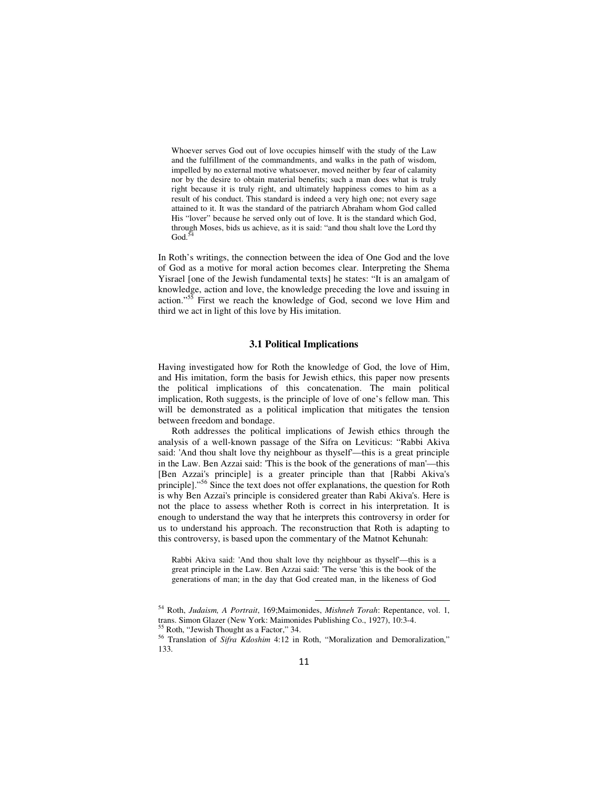Whoever serves God out of love occupies himself with the study of the Law and the fulfillment of the commandments, and walks in the path of wisdom, impelled by no external motive whatsoever, moved neither by fear of calamity nor by the desire to obtain material benefits; such a man does what is truly right because it is truly right, and ultimately happiness comes to him as a result of his conduct. This standard is indeed a very high one; not every sage attained to it. It was the standard of the patriarch Abraham whom God called His "lover" because he served only out of love. It is the standard which God, through Moses, bids us achieve, as it is said: "and thou shalt love the Lord thy  $\mathrm{God.}^{\ddagger}$ 

In Roth's writings, the connection between the idea of One God and the love of God as a motive for moral action becomes clear. Interpreting the Shema Yisrael [one of the Jewish fundamental texts] he states: "It is an amalgam of knowledge, action and love, the knowledge preceding the love and issuing in action."<sup>55</sup> First we reach the knowledge of God, second we love Him and third we act in light of this love by His imitation.

### **3.1 Political Implications**

Having investigated how for Roth the knowledge of God, the love of Him, and His imitation, form the basis for Jewish ethics, this paper now presents the political implications of this concatenation. The main political implication, Roth suggests, is the principle of love of one's fellow man. This will be demonstrated as a political implication that mitigates the tension between freedom and bondage.

Roth addresses the political implications of Jewish ethics through the analysis of a well-known passage of the Sifra on Leviticus: "Rabbi Akiva said: 'And thou shalt love thy neighbour as thyself'—this is a great principle in the Law. Ben Azzai said: 'This is the book of the generations of man'—this [Ben Azzai's principle] is a greater principle than that [Rabbi Akiva's principle]."<sup>56</sup> Since the text does not offer explanations, the question for Roth is why Ben Azzai's principle is considered greater than Rabi Akiva's. Here is not the place to assess whether Roth is correct in his interpretation. It is enough to understand the way that he interprets this controversy in order for us to understand his approach. The reconstruction that Roth is adapting to this controversy, is based upon the commentary of the Matnot Kehunah:

Rabbi Akiva said: 'And thou shalt love thy neighbour as thyself'—this is a great principle in the Law. Ben Azzai said: 'The verse 'this is the book of the generations of man; in the day that God created man, in the likeness of God

<sup>54</sup> Roth, *Judaism, A Portrait*, 169;Maimonides, *Mishneh Torah*: Repentance, vol. 1, trans. Simon Glazer (New York: Maimonides Publishing Co., 1927), 10:3-4.

 $5$  Roth, "Jewish Thought as a Factor," 34.

<sup>56</sup> Translation of *Sifra Kdoshim* 4:12 in Roth, "Moralization and Demoralization," 133.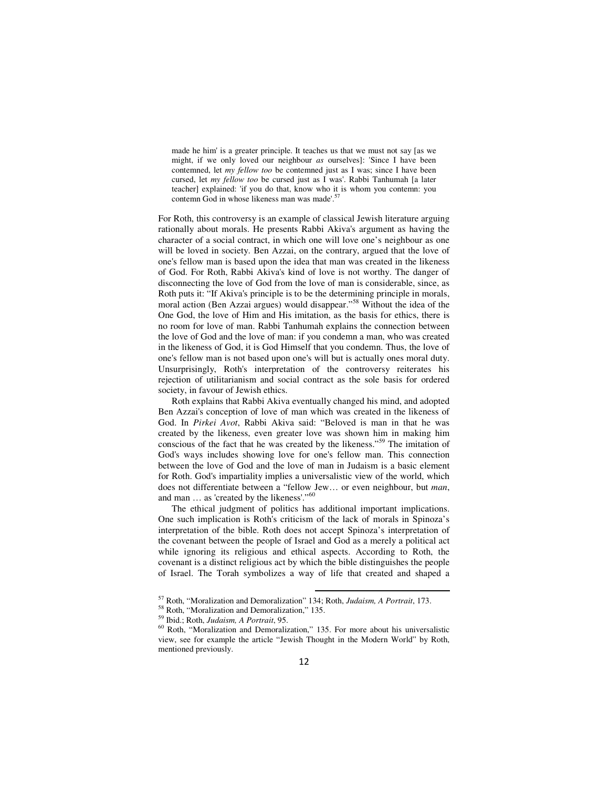made he him' is a greater principle. It teaches us that we must not say [as we might, if we only loved our neighbour *as* ourselves]: 'Since I have been contemned, let *my fellow too* be contemned just as I was; since I have been cursed, let *my fellow too* be cursed just as I was'. Rabbi Tanhumah [a later teacher] explained: 'if you do that, know who it is whom you contemn: you contemn God in whose likeness man was made'.<sup>5</sup>

For Roth, this controversy is an example of classical Jewish literature arguing rationally about morals. He presents Rabbi Akiva's argument as having the character of a social contract, in which one will love one's neighbour as one will be loved in society. Ben Azzai, on the contrary, argued that the love of one's fellow man is based upon the idea that man was created in the likeness of God. For Roth, Rabbi Akiva's kind of love is not worthy. The danger of disconnecting the love of God from the love of man is considerable, since, as Roth puts it: "If Akiva's principle is to be the determining principle in morals, moral action (Ben Azzai argues) would disappear."<sup>58</sup> Without the idea of the One God, the love of Him and His imitation, as the basis for ethics, there is no room for love of man. Rabbi Tanhumah explains the connection between the love of God and the love of man: if you condemn a man, who was created in the likeness of God, it is God Himself that you condemn. Thus, the love of one's fellow man is not based upon one's will but is actually ones moral duty. Unsurprisingly, Roth's interpretation of the controversy reiterates his rejection of utilitarianism and social contract as the sole basis for ordered society, in favour of Jewish ethics.

Roth explains that Rabbi Akiva eventually changed his mind, and adopted Ben Azzai's conception of love of man which was created in the likeness of God. In *Pirkei Avot*, Rabbi Akiva said: "Beloved is man in that he was created by the likeness, even greater love was shown him in making him conscious of the fact that he was created by the likeness."<sup>59</sup> The imitation of God's ways includes showing love for one's fellow man. This connection between the love of God and the love of man in Judaism is a basic element for Roth. God's impartiality implies a universalistic view of the world, which does not differentiate between a "fellow Jew… or even neighbour, but *man*, and man ... as 'created by the likeness'."<sup>60</sup>

The ethical judgment of politics has additional important implications. One such implication is Roth's criticism of the lack of morals in Spinoza's interpretation of the bible. Roth does not accept Spinoza's interpretation of the covenant between the people of Israel and God as a merely a political act while ignoring its religious and ethical aspects. According to Roth, the covenant is a distinct religious act by which the bible distinguishes the people of Israel. The Torah symbolizes a way of life that created and shaped a

<sup>57</sup> Roth, "Moralization and Demoralization" 134; Roth, *Judaism, A Portrait*, 173.

<sup>58</sup> Roth, "Moralization and Demoralization," 135.

<sup>59</sup> Ibid.; Roth, *Judaism, A Portrait*, 95.

 $60$  Roth, "Moralization and Demoralization," 135. For more about his universalistic view, see for example the article "Jewish Thought in the Modern World" by Roth, mentioned previously.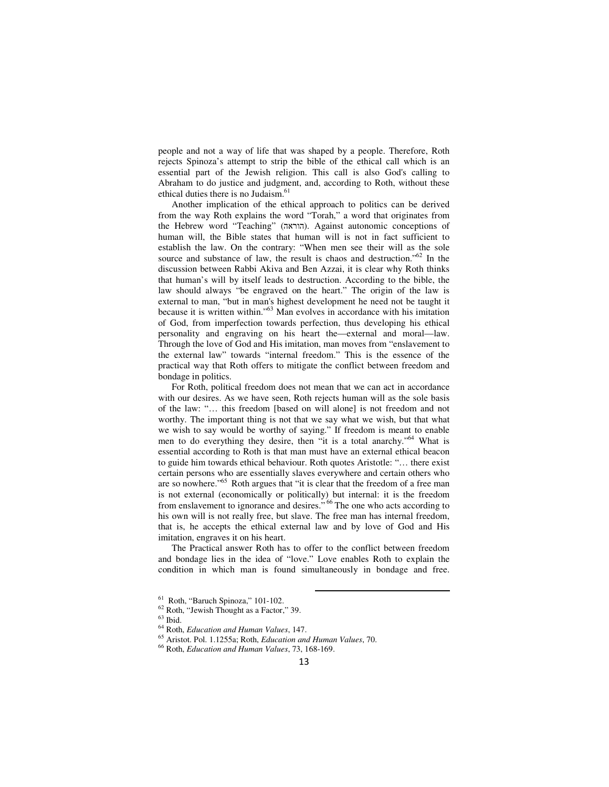people and not a way of life that was shaped by a people. Therefore, Roth rejects Spinoza's attempt to strip the bible of the ethical call which is an essential part of the Jewish religion. This call is also God's calling to Abraham to do justice and judgment, and, according to Roth, without these ethical duties there is no Judaism.<sup>61</sup>

Another implication of the ethical approach to politics can be derived from the way Roth explains the word "Torah," a word that originates from the Hebrew word "Teaching" (הוראה). Against autonomic conceptions of human will, the Bible states that human will is not in fact sufficient to establish the law. On the contrary: "When men see their will as the sole source and substance of law, the result is chaos and destruction."<sup>62</sup> In the discussion between Rabbi Akiva and Ben Azzai, it is clear why Roth thinks that human's will by itself leads to destruction. According to the bible, the law should always "be engraved on the heart." The origin of the law is external to man, "but in man's highest development he need not be taught it because it is written within."<sup>63</sup> Man evolves in accordance with his imitation of God, from imperfection towards perfection, thus developing his ethical personality and engraving on his heart the—external and moral—law. Through the love of God and His imitation, man moves from "enslavement to the external law" towards "internal freedom." This is the essence of the practical way that Roth offers to mitigate the conflict between freedom and bondage in politics.

For Roth, political freedom does not mean that we can act in accordance with our desires. As we have seen, Roth rejects human will as the sole basis of the law: "… this freedom [based on will alone] is not freedom and not worthy. The important thing is not that we say what we wish, but that what we wish to say would be worthy of saying." If freedom is meant to enable men to do everything they desire, then "it is a total anarchy."<sup>64</sup> What is essential according to Roth is that man must have an external ethical beacon to guide him towards ethical behaviour. Roth quotes Aristotle: "… there exist certain persons who are essentially slaves everywhere and certain others who are so nowhere."<sup>65</sup> Roth argues that "it is clear that the freedom of a free man is not external (economically or politically) but internal: it is the freedom from enslavement to ignorance and desires."<sup>66</sup> The one who acts according to his own will is not really free, but slave. The free man has internal freedom, that is, he accepts the ethical external law and by love of God and His imitation, engraves it on his heart.

The Practical answer Roth has to offer to the conflict between freedom and bondage lies in the idea of "love." Love enables Roth to explain the condition in which man is found simultaneously in bondage and free.

<sup>61</sup> Roth, "Baruch Spinoza," 101-102.

<sup>62</sup> Roth, "Jewish Thought as a Factor," 39.

 $63$  Ibid.

<sup>64</sup> Roth, *Education and Human Values*, 147.

<sup>65</sup> Aristot. Pol. 1.1255a; Roth, *Education and Human Values*, 70.

<sup>66</sup> Roth, *Education and Human Values*, 73, 168-169.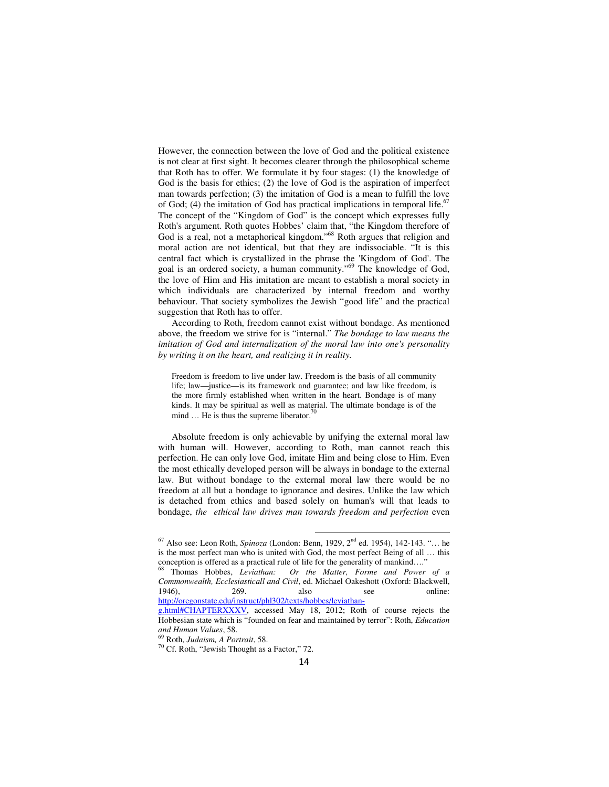However, the connection between the love of God and the political existence is not clear at first sight. It becomes clearer through the philosophical scheme that Roth has to offer. We formulate it by four stages: (1) the knowledge of God is the basis for ethics; (2) the love of God is the aspiration of imperfect man towards perfection; (3) the imitation of God is a mean to fulfill the love of God; (4) the imitation of God has practical implications in temporal life.<sup>67</sup> The concept of the "Kingdom of God" is the concept which expresses fully Roth's argument. Roth quotes Hobbes' claim that, "the Kingdom therefore of God is a real, not a metaphorical kingdom."<sup>68</sup> Roth argues that religion and moral action are not identical, but that they are indissociable. "It is this central fact which is crystallized in the phrase the 'Kingdom of God'. The goal is an ordered society, a human community."<sup>69</sup> The knowledge of God, the love of Him and His imitation are meant to establish a moral society in which individuals are characterized by internal freedom and worthy behaviour. That society symbolizes the Jewish "good life" and the practical suggestion that Roth has to offer.

According to Roth, freedom cannot exist without bondage. As mentioned above, the freedom we strive for is "internal." *The bondage to law means the imitation of God and internalization of the moral law into one's personality by writing it on the heart, and realizing it in reality.* 

Freedom is freedom to live under law. Freedom is the basis of all community life; law—justice—is its framework and guarantee; and law like freedom, is the more firmly established when written in the heart. Bondage is of many kinds. It may be spiritual as well as material. The ultimate bondage is of the mind  $\ldots$  He is thus the supreme liberator.<sup>7</sup>

Absolute freedom is only achievable by unifying the external moral law with human will. However, according to Roth, man cannot reach this perfection. He can only love God, imitate Him and being close to Him. Even the most ethically developed person will be always in bondage to the external law. But without bondage to the external moral law there would be no freedom at all but a bondage to ignorance and desires. Unlike the law which is detached from ethics and based solely on human's will that leads to bondage, *the ethical law drives man towards freedom and perfection* even

<sup>67</sup> Also see: Leon Roth, *Spinoza* (London: Benn, 1929, 2nd ed. 1954), 142-143. "… he is the most perfect man who is united with God, the most perfect Being of all … this conception is offered as a practical rule of life for the generality of mankind…."

<sup>68</sup> Thomas Hobbes, *Leviathan: Or the Matter, Forme and Power of a Commonwealth, Ecclesiasticall and Civil*, ed. Michael Oakeshott (Oxford: Blackwell, 1946), 269. also see online: http://oregonstate.edu/instruct/phl302/texts/hobbes/leviathan-

g.html#CHAPTERXXXV, accessed May 18, 2012; Roth of course rejects the Hobbesian state which is "founded on fear and maintained by terror": Roth, *Education and Human Values*, 58.

<sup>69</sup> Roth, *Judaism, A Portrait*, 58.

<sup>70</sup> Cf. Roth, "Jewish Thought as a Factor," 72.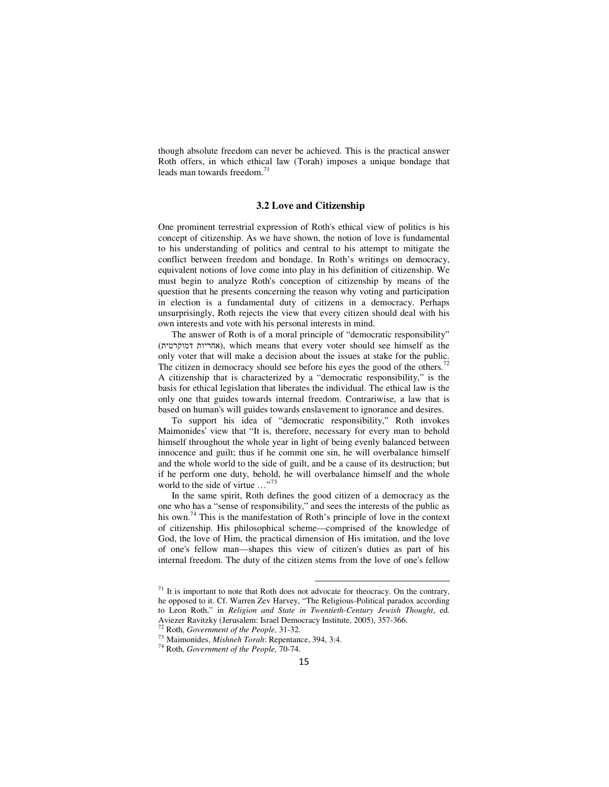though absolute freedom can never be achieved. This is the practical answer Roth offers, in which ethical law (Torah) imposes a unique bondage that leads man towards freedom.<sup>71</sup>

#### **3.2 Love and Citizenship**

One prominent terrestrial expression of Roth's ethical view of politics is his concept of citizenship. As we have shown, the notion of love is fundamental to his understanding of politics and central to his attempt to mitigate the conflict between freedom and bondage. In Roth's writings on democracy, equivalent notions of love come into play in his definition of citizenship. We must begin to analyze Roth's conception of citizenship by means of the question that he presents concerning the reason why voting and participation in election is a fundamental duty of citizens in a democracy. Perhaps unsurprisingly, Roth rejects the view that every citizen should deal with his own interests and vote with his personal interests in mind.

The answer of Roth is of a moral principle of "democratic responsibility" (אחריות דמוקרטית), which means that every voter should see himself as the only voter that will make a decision about the issues at stake for the public. The citizen in democracy should see before his eyes the good of the others.<sup>72</sup> A citizenship that is characterized by a "democratic responsibility," is the basis for ethical legislation that liberates the individual. The ethical law is the only one that guides towards internal freedom. Contrariwise, a law that is based on human's will guides towards enslavement to ignorance and desires.

To support his idea of "democratic responsibility," Roth invokes Maimonides' view that "It is, therefore, necessary for every man to behold himself throughout the whole year in light of being evenly balanced between innocence and guilt; thus if he commit one sin, he will overbalance himself and the whole world to the side of guilt, and be a cause of its destruction; but if he perform one duty, behold, he will overbalance himself and the whole world to the side of virtue ..."<sup>73</sup>

In the same spirit, Roth defines the good citizen of a democracy as the one who has a "sense of responsibility," and sees the interests of the public as his own.<sup>74</sup> This is the manifestation of Roth's principle of love in the context of citizenship. His philosophical scheme—comprised of the knowledge of God, the love of Him, the practical dimension of His imitation, and the love of one's fellow man—shapes this view of citizen's duties as part of his internal freedom. The duty of the citizen stems from the love of one's fellow

 $<sup>71</sup>$  It is important to note that Roth does not advocate for theocracy. On the contrary,</sup> he opposed to it. Cf. Warren Zev Harvey, "The Religious-Political paradox according to Leon Roth," in *Religion and State in Twentieth-Century Jewish Thought*, ed. Aviezer Ravitzky (Jerusalem: Israel Democracy Institute, 2005), 357-366.

<sup>72</sup> Roth, *Government of the People,* 31-32.

<sup>73</sup> Maimonides, *Mishneh Torah*: Repentance, 394, 3:4.

<sup>74</sup> Roth, *Government of the People,* 70-74.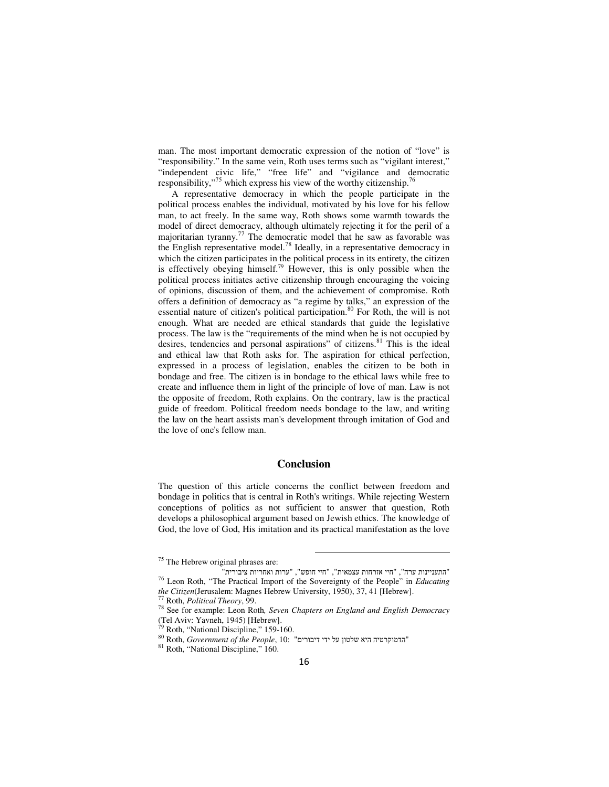man. The most important democratic expression of the notion of "love" is "responsibility." In the same vein, Roth uses terms such as "vigilant interest," "independent civic life," "free life" and "vigilance and democratic responsibility,"<sup>75</sup> which express his view of the worthy citizenship.<sup>76</sup>

A representative democracy in which the people participate in the political process enables the individual, motivated by his love for his fellow man, to act freely. In the same way, Roth shows some warmth towards the model of direct democracy, although ultimately rejecting it for the peril of a majoritarian tyranny.<sup>77</sup> The democratic model that he saw as favorable was the English representative model.<sup>78</sup> Ideally, in a representative democracy in which the citizen participates in the political process in its entirety, the citizen is effectively obeying himself.<sup>79</sup> However, this is only possible when the political process initiates active citizenship through encouraging the voicing of opinions, discussion of them, and the achievement of compromise. Roth offers a definition of democracy as "a regime by talks," an expression of the essential nature of citizen's political participation.<sup>80</sup> For Roth, the will is not enough. What are needed are ethical standards that guide the legislative process. The law is the "requirements of the mind when he is not occupied by desires, tendencies and personal aspirations" of citizens. $81$  This is the ideal and ethical law that Roth asks for. The aspiration for ethical perfection, expressed in a process of legislation, enables the citizen to be both in bondage and free. The citizen is in bondage to the ethical laws while free to create and influence them in light of the principle of love of man. Law is not the opposite of freedom, Roth explains. On the contrary, law is the practical guide of freedom. Political freedom needs bondage to the law, and writing the law on the heart assists man's development through imitation of God and the love of one's fellow man.

### **Conclusion**

The question of this article concerns the conflict between freedom and bondage in politics that is central in Roth's writings. While rejecting Western conceptions of politics as not sufficient to answer that question, Roth develops a philosophical argument based on Jewish ethics. The knowledge of God, the love of God, His imitation and its practical manifestation as the love

<sup>&</sup>lt;sup>75</sup> The Hebrew original phrases are:

<sup>&</sup>quot;התעניינות ערה ", " חיי אזרחות עצמאית ", " חיי חופש ", " ערות ואחריות ציבורית " <sup>76</sup> Leon Roth, "The Practical Import of the Sovereignty of the People" in *Educating the Citizen*(Jerusalem: Magnes Hebrew University, 1950), 37, 41 [Hebrew].

<sup>77</sup> Roth, *Political Theory*, 99.

<sup>78</sup> See for example: Leon Roth*, Seven Chapters on England and English Democracy*  (Tel Aviv: Yavneh, 1945) [Hebrew].

Roth, "National Discipline," 159-160.

ה היא שלטון על ידי דיבורים " 10: הדמוקרטיה היא שלטון על ידי דיבורים " Roth, *Government of the People*,  $R$ 

<sup>81</sup> Roth, "National Discipline," 160.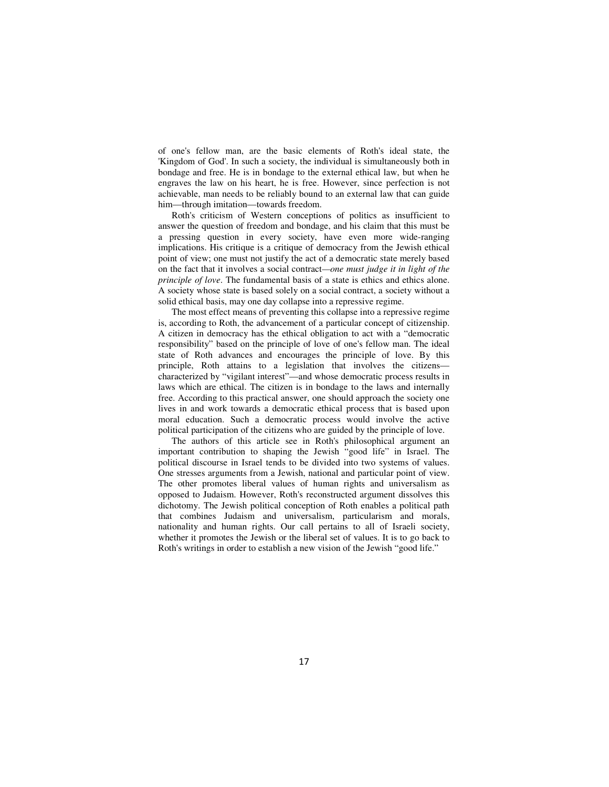of one's fellow man, are the basic elements of Roth's ideal state, the 'Kingdom of God'. In such a society, the individual is simultaneously both in bondage and free. He is in bondage to the external ethical law, but when he engraves the law on his heart, he is free. However, since perfection is not achievable, man needs to be reliably bound to an external law that can guide him—through imitation—towards freedom.

Roth's criticism of Western conceptions of politics as insufficient to answer the question of freedom and bondage, and his claim that this must be a pressing question in every society, have even more wide-ranging implications. His critique is a critique of democracy from the Jewish ethical point of view; one must not justify the act of a democratic state merely based on the fact that it involves a social contract*—one must judge it in light of the principle of love*. The fundamental basis of a state is ethics and ethics alone. A society whose state is based solely on a social contract, a society without a solid ethical basis, may one day collapse into a repressive regime.

The most effect means of preventing this collapse into a repressive regime is, according to Roth, the advancement of a particular concept of citizenship. A citizen in democracy has the ethical obligation to act with a "democratic responsibility" based on the principle of love of one's fellow man. The ideal state of Roth advances and encourages the principle of love. By this principle, Roth attains to a legislation that involves the citizens characterized by "vigilant interest"—and whose democratic process results in laws which are ethical. The citizen is in bondage to the laws and internally free. According to this practical answer, one should approach the society one lives in and work towards a democratic ethical process that is based upon moral education. Such a democratic process would involve the active political participation of the citizens who are guided by the principle of love.

The authors of this article see in Roth's philosophical argument an important contribution to shaping the Jewish "good life" in Israel. The political discourse in Israel tends to be divided into two systems of values. One stresses arguments from a Jewish, national and particular point of view. The other promotes liberal values of human rights and universalism as opposed to Judaism. However, Roth's reconstructed argument dissolves this dichotomy. The Jewish political conception of Roth enables a political path that combines Judaism and universalism, particularism and morals, nationality and human rights. Our call pertains to all of Israeli society, whether it promotes the Jewish or the liberal set of values. It is to go back to Roth's writings in order to establish a new vision of the Jewish "good life."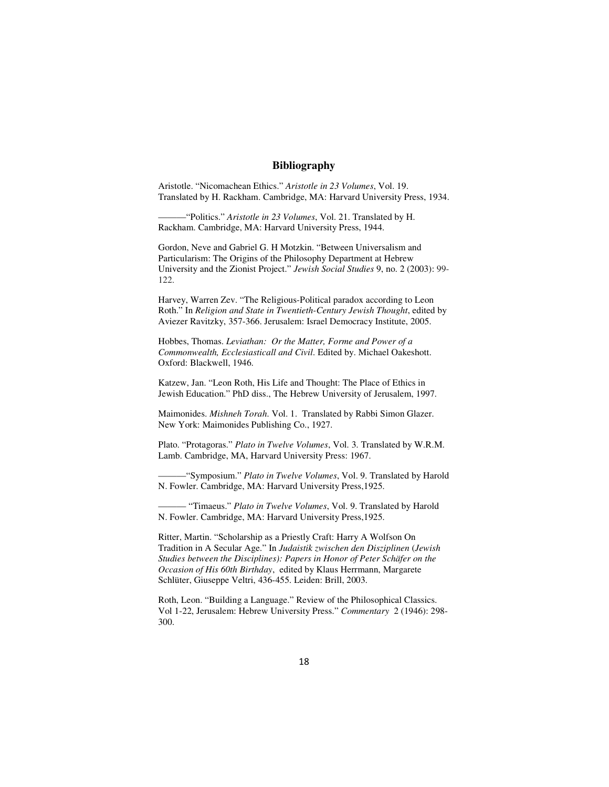### **Bibliography**

Aristotle. "Nicomachean Ethics." *Aristotle in 23 Volumes*, Vol. 19. Translated by H. Rackham. Cambridge, MA: Harvard University Press, 1934.

———"Politics." *Aristotle in 23 Volumes*, Vol. 21. Translated by H. Rackham. Cambridge, MA: Harvard University Press, 1944.

Gordon, Neve and Gabriel G. H Motzkin. "Between Universalism and Particularism: The Origins of the Philosophy Department at Hebrew University and the Zionist Project." *Jewish Social Studies* 9, no. 2 (2003): 99- 122.

Harvey, Warren Zev. "The Religious-Political paradox according to Leon Roth." In *Religion and State in Twentieth-Century Jewish Thought*, edited by Aviezer Ravitzky, 357-366. Jerusalem: Israel Democracy Institute, 2005.

Hobbes, Thomas. *Leviathan: Or the Matter, Forme and Power of a Commonwealth, Ecclesiasticall and Civil*. Edited by. Michael Oakeshott. Oxford: Blackwell, 1946.

Katzew, Jan. "Leon Roth, His Life and Thought: The Place of Ethics in Jewish Education." PhD diss., The Hebrew University of Jerusalem, 1997.

Maimonides. *Mishneh Torah*. Vol. 1. Translated by Rabbi Simon Glazer. New York: Maimonides Publishing Co., 1927.

Plato. "Protagoras." *Plato in Twelve Volumes*, Vol. 3. Translated by W.R.M. Lamb. Cambridge, MA, Harvard University Press: 1967.

———"Symposium." *Plato in Twelve Volumes*, Vol. 9. Translated by Harold N. Fowler. Cambridge, MA: Harvard University Press,1925.

——— "Timaeus." *Plato in Twelve Volumes*, Vol. 9. Translated by Harold N. Fowler. Cambridge, MA: Harvard University Press,1925.

Ritter, Martin. "Scholarship as a Priestly Craft: Harry A Wolfson On Tradition in A Secular Age." In *Judaistik zwischen den Disziplinen* (*Jewish Studies between the Disciplines): Papers in Honor of Peter Schäfer on the Occasion of His 60th Birthday*, edited by Klaus Herrmann, Margarete Schlüter, Giuseppe Veltri, 436-455. Leiden: Brill, 2003.

Roth, Leon. "Building a Language." Review of the Philosophical Classics. Vol 1-22, Jerusalem: Hebrew University Press." *Commentary* 2 (1946): 298- 300.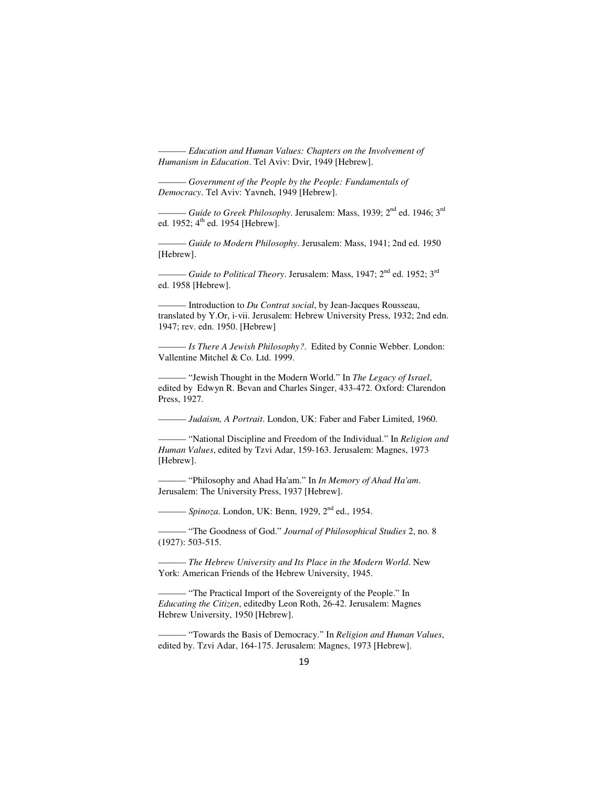$-$ *Education and Human Values: Chapters on the Involvement of Humanism in Education*. Tel Aviv: Dvir, 1949 [Hebrew].

——— *Government of the People by the People: Fundamentals of Democracy*. Tel Aviv: Yavneh, 1949 [Hebrew].

– *Guide to Greek Philosophy*. Jerusalem: Mass, 1939; 2<sup>nd</sup> ed. 1946; 3<sup>rd</sup> ed. 1952;  $4^{\text{th}}$  ed. 1954 [Hebrew].

——— *Guide to Modern Philosophy*. Jerusalem: Mass, 1941; 2nd ed. 1950 [Hebrew].

——— *Guide to Political Theory*. Jerusalem: Mass, 1947; 2nd ed. 1952; 3rd ed. 1958 [Hebrew].

- Introduction to *Du Contrat social*, by Jean-Jacques Rousseau, translated by Y.Or, i-vii. Jerusalem: Hebrew University Press, 1932; 2nd edn. 1947; rev. edn. 1950. [Hebrew]

——— *Is There A Jewish Philosophy?*. Edited by Connie Webber. London: Vallentine Mitchel & Co. Ltd. 1999.

——— "Jewish Thought in the Modern World." In *The Legacy of Israel*, edited by Edwyn R. Bevan and Charles Singer, 433-472. Oxford: Clarendon Press, 1927.

——— *Judaism, A Portrait*. London, UK: Faber and Faber Limited, 1960.

——— "National Discipline and Freedom of the Individual." In *Religion and Human Values*, edited by Tzvi Adar, 159-163. Jerusalem: Magnes, 1973 [Hebrew].

——— "Philosophy and Ahad Ha'am." In *In Memory of Ahad Ha'am*. Jerusalem: The University Press, 1937 [Hebrew].

——— *Spinoza*. London, UK: Benn, 1929, 2nd ed., 1954.

——— "The Goodness of God." *Journal of Philosophical Studies* 2, no. 8 (1927): 503-515.

——— *The Hebrew University and Its Place in the Modern World*. New York: American Friends of the Hebrew University, 1945.

——— "The Practical Import of the Sovereignty of the People." In *Educating the Citizen*, editedby Leon Roth, 26-42. Jerusalem: Magnes Hebrew University, 1950 [Hebrew].

——— "Towards the Basis of Democracy." In *Religion and Human Values*, edited by. Tzvi Adar, 164-175. Jerusalem: Magnes, 1973 [Hebrew].